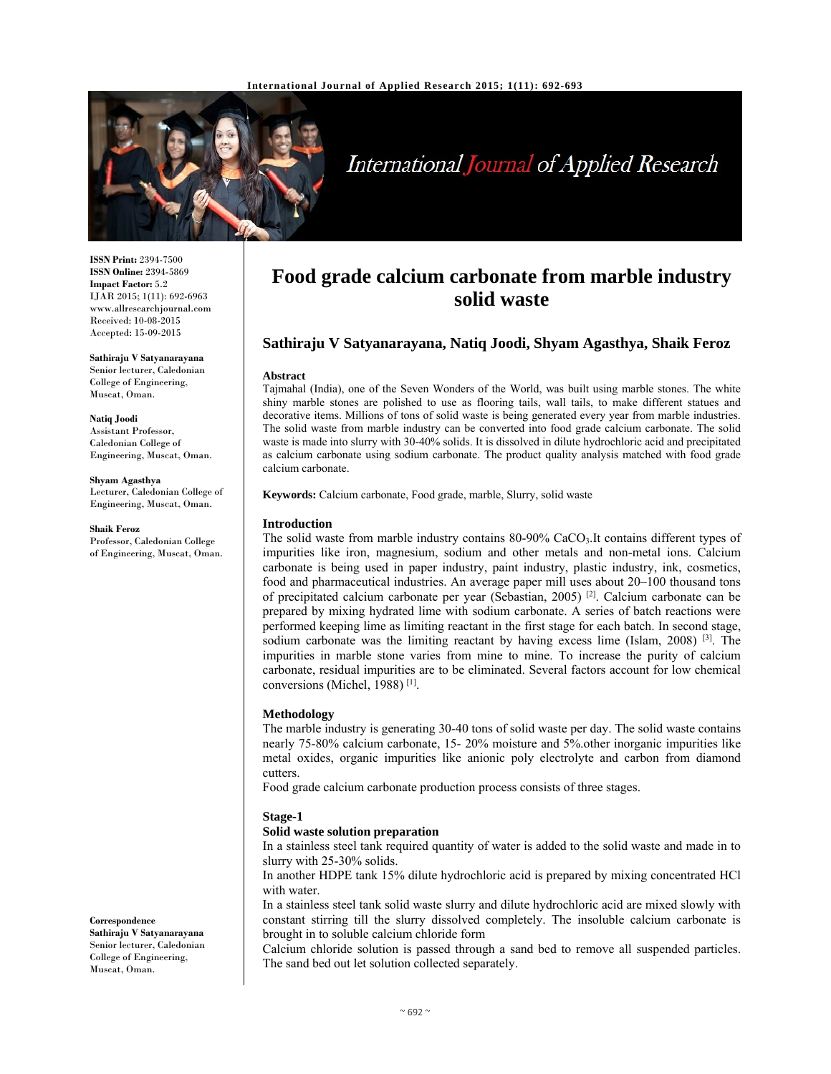

# International Journal of Applied Research

**ISSN Print:** 2394-7500 **ISSN Online:** 2394-5869 **Impact Factor:** 5.2 IJAR 2015; 1(11): 692-6963 www.allresearchjournal.com Received: 10-08-2015 Accepted: 15-09-2015

**Sathiraju V Satyanarayana**  Senior lecturer, Caledonian College of Engineering, Muscat, Oman.

**Natiq Joodi**  Assistant Professor, Caledonian College of Engineering, Muscat, Oman.

**Shyam Agasthya**  Lecturer, Caledonian College of Engineering, Muscat, Oman.

**Shaik Feroz**  Professor, Caledonian College of Engineering, Muscat, Oman.

**Correspondence**

**Sathiraju V Satyanarayana**  Senior lecturer, Caledonian College of Engineering, Muscat, Oman.

# **Food grade calcium carbonate from marble industry solid waste**

## **Sathiraju V Satyanarayana, Natiq Joodi, Shyam Agasthya, Shaik Feroz**

#### **Abstract**

Tajmahal (India), one of the Seven Wonders of the World, was built using marble stones. The white shiny marble stones are polished to use as flooring tails, wall tails, to make different statues and decorative items. Millions of tons of solid waste is being generated every year from marble industries. The solid waste from marble industry can be converted into food grade calcium carbonate. The solid waste is made into slurry with 30-40% solids. It is dissolved in dilute hydrochloric acid and precipitated as calcium carbonate using sodium carbonate. The product quality analysis matched with food grade calcium carbonate.

**Keywords:** Calcium carbonate, Food grade, marble, Slurry, solid waste

#### **Introduction**

The solid waste from marble industry contains 80-90% CaCO3.It contains different types of impurities like iron, magnesium, sodium and other metals and non-metal ions. Calcium carbonate is being used in paper industry, paint industry, plastic industry, ink, cosmetics, food and pharmaceutical industries. An average paper mill uses about 20–100 thousand tons of precipitated calcium carbonate per year (Sebastian, 2005) <sup>[2]</sup>. Calcium carbonate can be prepared by mixing hydrated lime with sodium carbonate. A series of batch reactions were performed keeping lime as limiting reactant in the first stage for each batch. In second stage, sodium carbonate was the limiting reactant by having excess lime (Islam, 2008)  $[3]$ . The impurities in marble stone varies from mine to mine. To increase the purity of calcium carbonate, residual impurities are to be eliminated. Several factors account for low chemical conversions (Michel, 1988) [1].

#### **Methodology**

The marble industry is generating 30-40 tons of solid waste per day. The solid waste contains nearly 75-80% calcium carbonate, 15- 20% moisture and 5%.other inorganic impurities like metal oxides, organic impurities like anionic poly electrolyte and carbon from diamond cutters.

Food grade calcium carbonate production process consists of three stages.

#### **Stage-1**

#### **Solid waste solution preparation**

In a stainless steel tank required quantity of water is added to the solid waste and made in to slurry with 25-30% solids.

In another HDPE tank 15% dilute hydrochloric acid is prepared by mixing concentrated HCl with water.

In a stainless steel tank solid waste slurry and dilute hydrochloric acid are mixed slowly with constant stirring till the slurry dissolved completely. The insoluble calcium carbonate is brought in to soluble calcium chloride form

Calcium chloride solution is passed through a sand bed to remove all suspended particles. The sand bed out let solution collected separately.